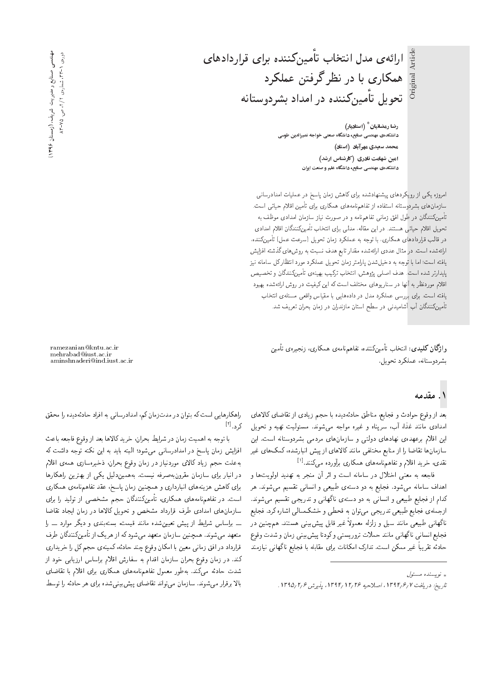ارائهی مدل انتخاب تاًمینکننده برای قراردادهای همکاری با در نظر گرفتن عملکرد تحویل تأمینکننده در امداد بشردوستانه

رضا رمضانيان  $^*$  (استاديار) دانشکدهی مهندسی صنایع، دانشگاه صنعتی خواجه نصیرالدین طوسی محمد سعیدی مهرآباد (استاد) امین شهامت نادری (کارشناس ارشد) دانشکدهی مهندسی صنایع، دانشگاه علم و صنعت ایران

|مروزه یکی از رویکردهای پیشنهادشده برای کاهش زمان پاسخ در عملیات امدادرسانی سازمان های بشردوستانه استفاده از تفاهم نامههای همکاری برای تأمین اقلام حیاتی است. تأمینکنندگان در طول افق زمانی تفاهمنامه و در صورت نیاز سازمان امدادی موظف به تحويل اقلام حياتي هستند. در اين مقاله، مدلي براي انتخاب تأمين كنندگان اقلام امدادي در قالب قراردادهای همکاری، با توجه به عملکرد زمان تحویل (سرعت عمل) تأمینکننده، ارائهشده است. در مثال عددی ارائه شده مقدار تابع هدف نسبت به روش های گذشته افزایش یافته است؛ اما با توجه به دخیل شدن پارامتر زمان تحویل عملکرد مورد انتظار کل سامانه نیز پایدارتر شده است. هدف اصلی پژوهش، انتخاب ترکیب بهینهی تأمینکنندگان و تخصیص اقلام موردنظر به آنها در سناريوهاى مختلف است كه اين كيفيت در روش ارائهشده بهبود يافته است. براى بررسي عملكرد مدل در دادههايي با مقياس واقعي مسئلهى انتخاب تأمینکنندگان آب أشامیدنی در سطح استان مازندران در زمان بحران تعریف شد.

وا**ژگان کلیدی**: انتخاب تأمینکننده، تفاهم نامهی همکاری، زنجیرهی تأمین بشردوستانه، عملکرد تحویل.

۱. مقدمه

بعد از وقوع حوادث و فجايع، مناطق حادثهديده با حجم زيادى از تقاضاى كالاهاى امدادی مانند غذا، أب، سرپناه و غیره مواجه میشوند. مسئولیت تهیه و تحویل این اقلام برعهدهی نهادهای دولتی و سازمانهای مردمی بشردوستانه است. این سازمانها تقاضا را از منابع مختلفى مانند كالاهاى از پيش انبارشده، كمك هاى غير نقدی، خرید اقلام و تفاهمامههای همکاری برآورده *میکنند.*<sup>[۱]</sup><br>تاریخ

فاجعه به معنى اختلال در سامانه است و اثر آن منجر به تهديد اولويتها و اهداف سامانه میشود. فجایع به دو دستهی طبیعی و انسانی تقسیم میشوند. هر كدام از فجایع طبیعی و انسانی به دو دستهی ناگهانی و تدریجی تقسیم می شوند. ازجملهی فجایع طبیعی تدریجی می توان به قحطی و خشکسالی اشاره کرد. فجایع ناگهانی طبیعی مانند سیل و زلزله معمولاً غیر قابل پیشبیتی هستند. همچنین در فجايع انساني ناگهاني مانند حملات تروريستي وكودتا پيشبيني زمان و شدت وقوع حادثه تقريباً غير ممكن است. تدارك امكانات براى مقابله با فجايع ناگهانى نيازمند

ramezanian@kntu.ac.ir mehrabad@iust.ac.ir aminshnaderi@ind.iust.ac.ir

راهكارهايي است كه بتوان در مدت زمان كم، امدادرساني به افراد حادثهديده را محقق کرد.<sup>[۲]</sup><br>ا

با توجه به اهميت زمان در شرايط بحران، خريد كالاها بعد از وقوع فاجعه باعث افزایش زمان پاسخ در امدادرسانی میشود؛ البته باید به این نکته توجه داشت که به علت حجم زياد كالاى موردنياز در زمان وقوع بحران، ذخيرهسازى همهى اقلام در انبار برای سازمان مقرونبهصرفه نیست. بههمیندلیل یکی از بهترین راهکارها برای کاهش هزینههای انبارداری و همچنین زمان پاسخ، عقد تفاهمiامهی همکاری |ست. در تفاهم،نامههای همکاری، تأمینکنندگان حجم مشخصی از تولید را برای سازمانهای امدادی طرف قرارداد مشخص و تحویل کالاها در زمان ایجاد تقاضا ــ براساس شرایط از پیش تعیین شده مانند قیمت، بستهبندی و دیگر موارد ــ را متعهد مىشوند. همچنين سازمان متعهد مىشودكه از هريک از تأمينکنندگان طرف قرارداد در افق زمانی معین با امکان وقوع چند حادثه، کمینهی حجم کل را خریداری کند. در زمان وقوع بحران سازمان اقدام به سفارش اقلام براساس ارزيابي خود از شدت حادثه مى كند. بەطور معمول تفاهم،نامەهاى همكارى براى اقلام با تقاضاى بالا برقرار می شوند. سازمان می تواند تقاضای پیش بینی شده برای هر حادثه را توسط

<sup>»</sup> نویسنده مسئول

تاريخ: دريافت ١٣٩٢/ ١٣٩٤، اصلاحيه ١٣٦٤/ ١٣٩١، پذيرش ١٣٩٥/٢/٤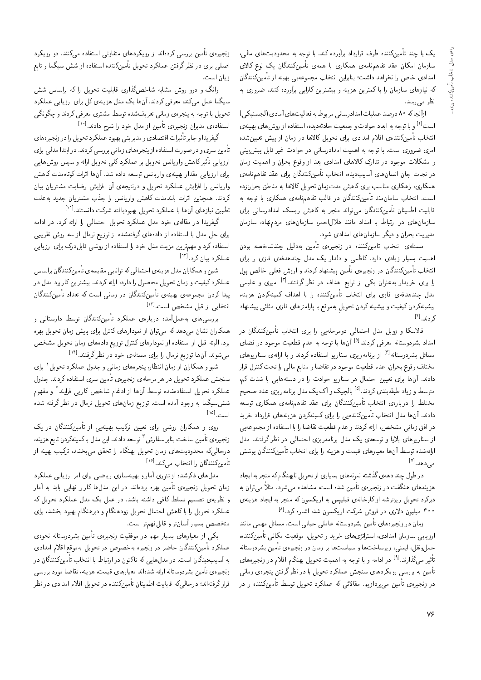یک یا چند تأمینکننده طرف قرارداد برآورده کند. با توجه به محدودیتهای مالی، سازمان امکان عقد تفاهمنامهى همکارى با همهى تأمينکنندگان يک نوع کالاى امدادی خاص را نخواهد داشت؛ بنابراین انتخاب مجموعه یی بهینه از تأمینکنندگان که نیازهای سازمان را با کمترین هزینه و بیشترین کارایی برآورده کنند، ضروری به نظر مي رسد.

ارآنجاكه ٨٠ درصد عمليات امدادرساني مربوط به فعاليت هاي آمادي (لجستيكي) است<sup>[۲]</sup> و با توجه به ابعاد حوادث و جمعیت حادثهدیده، استفاده از روش های بهینه،ی<br>این بارستان می بیند و اتفاق اینان و سال و سال ۱۳۱۶ انتخاب تأمینکنندهی اقلام امدادی برای تحویل کالاها در زمان از پیش تعیینشده امری ضروری است. با توجه به اهمیت امدادرسانی در حوادث غیر قابل پیشبینی و مشکلات موجود در تدارک کالاهای امدادی بعد از وقوع بحران و اهمیت زمان در نجات جان انسانِهای آسیبِدیده، انتخاب تأمینِکنندگان برای عقد تفاهم،نامهی همکاری، راهکاری مناسب برای کاهش مدتزمان تحویل کالاها به مناطق بحرانزده است. انتخاب سامان مند تأمینکنندگان در قالب تفاهم،نامهی همکاری با توجه به قابلیت اطمینان تأمینکنندگان می تواند منجر به کاهش ریسک امدادرسان<sub>ی</sub> برای سازمانهای در ارتباط با امداد مانند هلالاحمر، سازمانهای مردم نهاد، سازمان<br>مدبریت بحران و دیگر سازمانهای امدادی شود. مدیریب بحران و دیگر سازمان های آمدادی سود.<br>ماسیا

uOw@ xYN=WOvJ p}rOx@ u}t-=D |xQ}HvR QO xOvvmu}t=D ?=NDv= |xrUt اهمیت بسیار زیادی دارد. داخمی و دندار یک مدل چمدهدفهی فازی را برای<br>اسما سال میگانید انتخاب تامین(شدان در زنجیرهی تامین پیشنهاد دردند و ارزش فعلی خالص پول<br>اسلمات میسالمید که این کسیسه اسلمبولیس میشند که تعییر آقا را برای خریدار به عنوان یکی از توابع اهداف در نظر گرفتند.<sup>[۲]</sup> امیری و علیمی<br>منابع میسیند و تاریخ استان با میشد کنند با با با با با تاریخ در مدل چندهدفهى فازى براى انتخاب تأمينكننده را با اهداف كمينهكردن هزينه، بیشینهکردن کیفیت و بیشینه کردن تحویلِ بهموقع با پارامترهای فازی مثلثی پیشنهاد<br>بر سد با ا کردند.<sup>[۴]</sup><br>من

فالاسکا و زوبل مدل احتمالی دومرحلهیی را برای انتخاب تأمینکنندگان در امداد بشردوستانه معرفی کردند.<sup>[6]</sup> آن&ا با توجه به عدم قطعیت موجود در فضای<br>اما به مصدر ابو<sup>[6]</sup> استفاد مسائل بشردوستانه<sup>[۶]</sup> از برنامهریزی سناریو استفاده کردند و با ارائهی سناریوهای<br>مقابله مقدمت مختلف وقوع بحران، عدم قطعيت موجود در تقاضا و منابع مالمي را تحت كنترل قرار دادند. آنها برای تعیین احتمال هر سناریو حوادث را در دستههایی با شدت کم، متوسط و زیاد طبقهبندی دردند.<br>مسایل استاد استاد به استاد کنیدگان است. بینامسایل متوسط و زیاد طبقهبندی کردند.<sup>[۵]</sup> بالچیک و آک یک مدل برنامهریزی عدد صحیح مختلط را دربارهی انتخاب تامین(مندان برای عفد تقاهم،امهی همداری توسعه<br>باید آمریکا بایدابی با گرین دادند. آنها مدل انتخاب تأمينكنندهيي را براى كمينهكردن هزينههاى قرارداد خريد در افق زمانی مشخص، ارائه کردند و عدم قطعیت تقاضا را با استفاده از مجموعهیی<br>از سناریوهای بلایا و توسعه،ی یک مدل برنامهریزی احتمالی در نظر گرفتند. مدل از سماريوهاي بلايا و نوسعه ي يك مدل برنامه ريزي احتمالي در نظر ترقيبه. مدل<br>الجميعي جمالية المساملية وسيم المساملية المساملية المستك ارائهشده توسط آنها معیارهای فیمت و هزینه را برای انتخاب تامین(شندگان پوشش<br>۱۷۱ مى**د**ھد.<sup>[۷]</sup><br>. .

در طول چند دههي گذشته نمونههاي بسياري از تحويل نابهنگام كه منجر به ايجاد هزینههای هنگفت در زنجیرهی تأمین شده است، مشاهده می شود. مثلاً می توان به دیرکرد تحویل ریزتراشه ازکارخانهی فیلیپس به اریکسون که منجر به ایجاد هزینهی ۴۰۰ میلیون دلاری در فروش شرکت اریکسون شد. اشاره کرد.<sup>[۸]</sup><br>مسلمان میلیون

زمان در زنجیرههای تأمین بشردوستانه عاملی حیاتی است. مسائل مهمی مانند ارزیابی سازمان امدادی، استراتژی،های خرید و تحویل، موقعیت مکانی تأمینکننده، حملونقل، ايمنى، زيرساخت ها و سياست ها بر زمان در زنجيرهى تأمين بشردوستانه تأثیر میگذارند.<sup>ا۹</sup> در ادامه و با توجه به اهمیت تحویل بهنگام اقلام در زنجیرههای<br>ب<sup>ا</sup> تأمین به بررسی رویکردهای سنجش عملکرد تحویل با در نظرگرفتن پنجرهی زمانی در زنجیرهٸ تأمین میپردازیم. مقالاتی که عملکرد تحویل توسط تأمینکننده را در

زنجیرهی تأمین بررسی کردهاند از رویکردهای متفاوتی استفاده می¢کنند. دو رویکرد اصلی برای در نظر گرفتن عملکرد تحویل تأمینکننده استفاده از شش سیگما و تابع زیان است.<br>وانگ و دوو روش مشابه شاخصگذاری قابلیت تحویل را که براساس شش

وانک و دوو روس مسابه ساخص داری قابلیت تحویل را ته براساس سس<br>سلمان کنید که در سال ایران است کار است ایران OQmrta |@=}RQ= |=Q@ pm |xv} Ry pOtl} =yu; "OvOQm |iQat 'Ovm|t pta=to}U تحویل با توجه به پنجرهی زمانی تعریفشده توسط مشتری معرفی کردند و چگونگی استفادهی مدیران زنجیرهی تأمین از مدل خود را شرح دادند.<sup>[۱۰]</sup><br>گستانهای استانهای است

بیرات اقتصادی و مدیریتی بهبود عملامرد تحویل را در زنجیرههای<br>استفادهای است گيفريدا و جابر تأثيرات اقتصادي و مديريتي بهبود عملكرد تحويل را در زنجيره هاي تامین سری و در صورت استفاده از پنجره های زمانی بررسی دردند. در ابتدا مدلی برای<br>استان میشود کاربود استان میده است. ارزیابی تاتیر ناهش واریانس تحویل بر عملکرد دلمی تحویل ارائه و سپس روش هایی<br>با بیان استفاده برای ارزیابی مقدار بهینهی واریانس توسعه داده شد. آنها اثرات کوتاهمدت کاهش واریانس را افزایش عملکرد تحویل و درنتیجهی آن افزایش رضایت مشتریان بیان کردند. همچنین اثرات بلندمدت کاهش واریانس را جذب مشتریان جدید بهعلت تطبیق نیازهای آن۱ا با عملکرد تحویل بهبودیافته شرکت دانستند.<sup>[۱۱]</sup><br>گروسال

گیفریدا در مقالهی خود مدل عملکرد تحویل احتمالی را ارائه کرد. در ادامه برای حل مدل با استفاده از دادههای گرفتهشده از توزیع نرمال از سه روش تقریبی استفاده كرد و مهم ترين مزيت مدل خود را استفاده از روشي قابل درك براى ارزيابي عملکرد بیان کرد.<sup>[۱۲]</sup><br>ما

شین و همکاران مدل هزینهی احتمالی که توانایی مقایسهی تأمینکنندگان براساس عملکرد کیفیت و زمان تحویل محصول را دارد، ارائه کردند. بیشترین کاربرد مدل در پیدا کردن مجموعهى بهینهى تأمینکنندگان در زمانی است که تعداد تأمینکنندگان انتخابی از قبل مشخص است.<sup>[۱۳]</sup><br>ا

بررسی های بهعملآمده دربارهی عملکرد تأمینکنندگان توسط دارستانی و همکاران نشان میدهد که میتوان از نمودارهای کنترل برای پایش زمان تحویل بهره برد. البته قبل از استفاده از نمودارهای کنترل توزیع دادههای زمان تحویل مشخص میشوند. آن ها توزیع نرمال را برای مسئلهی خود در نظرگرفتند.<sup>[۱۲]</sup><br>میستند

شیو و همکاران از زمان انتظار، پنجرههای زمانی و جدول عملکرد تحویل' برای<br>مسیحات مقدار است. سنجش عملکرد تحویل در هر مرحلهی زنجیرهی تأمین سری استفاده کردند. جدول عملكرد تحويل استفادهشده توسط آنها از ادغام شاخص كارايي فرايند' و مفهوم<br>مستحدث التحصيل السياسي شش سیگما به وجود آمده است. توزیع زمانهای تحویل نرمال در نظر گرفته شده است.<sup>[۱۵]</sup>

روی و همکاران روشی برای تعیین ترکیب بهینهیی از تأمینکنندگان در یک زنجیرهی تامین ساخت بنابر سفارش " توسعه دادند. این مدل با کمینهکردن تابع هزینه،<br>بالمبرگ است میست است است و سالمبرگان است توسع در دوست درحالیکه محدودیتهای زمان تحویل بهنگام را تحقق میبخشد، ترکیب بهینه از تأمینکنندگان را انتخاب میکند.<sup>[۱۶]</sup><br>مالمسلمان میکند است

مدل های ذکرشده از تئوری آمار و بهینهسازی ریاضی برای امر ارزیابی عملکرد زمان تحويل زنجيره ي تأمين بهره بردهاند. در اين مدل،ها كاربر نهايبي بايد به آمار و نظریه ی تصمیم تسلط کافی داشته باشد. در عمل یک مدل عملکرد تحویل که عملکرد تحویل را با کاهش احتمال تحویل زودهنگام و دیرهنگام بهبود بخشد، برای متخصص بسيار أسانتر و قابل فهمتر است.

يكى از معيارهاى بسيار مهم در موفقيت زنجيرهى تأمين بشردوستانه نحوه ى عملکرد تأمینکنندگان حاضر در زنجیره بهخصوص در تحویل بهموقع اقلام امدادی به آسیبدیدگان است. در مدلهایی که تاکنون در ارتباط با انتخاب تأمینکنندگان در زنجيرهى تأمين بشردوستانه ارائه شدهاند معيارهاى قيمت، هزينه، تقاضا مورد بررسي قرار گرفتهاند؛ درحالییکه قابلیت اطمینان تأمینکننده در تحویل اقلام امدادی در نظر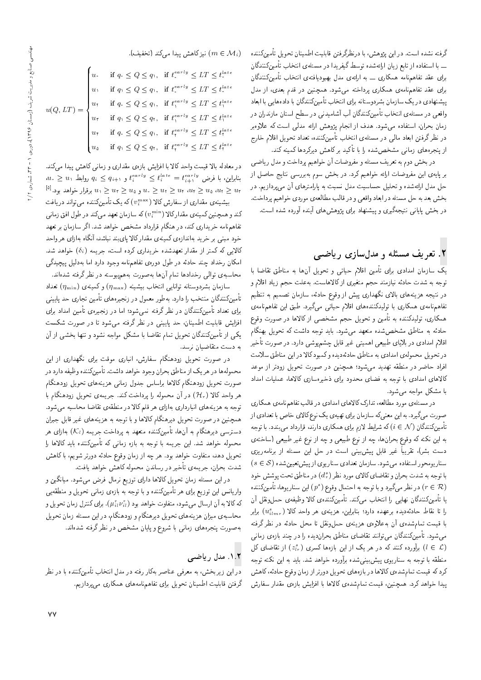late 0 late 0 late 1 late 1 late ۲<br>ا late ۲<br>ا گرفته نشده است. در این پژوهش، با درنظرگرفتن قابلیت اطمینان تحویل تأمینکننده ـــ با استفاده از تابع زيان ارائهشده توسط گيفريدا در مسئلهى انتخاب تأمينكنندگان برای عقد تفاهم،نامه همکاری ـــ به ارائهی مدل بهبودیافتهی انتخاب تأمینکنندگان برای عقد تفاهمنامهی همکاری پرداخته میشود. همچنین در قدم بعدی، از مدل پیشنهادی در یک سازمان بشردوستانه برای انتخاب تأمینکنندگان با دادههایی با ابعاد واقعی در مسئلهءی انتخاب تأمینکنندگان آب آشامیدنی در سطح استان مازندران در زمان بحران، استفاده میشود. هدف از انجام پژوهش ارائه مدلی است که علاوهبر در نظر گرفتن ابعاد مالمی در مسئله، انتخاب تأمینکننده، تعداد تحویل اقلام خارج از پنجرههای زمانی مشخص شده را با تا دید بر کاهش دیردردها دمینه دند.<br>مستقل است

در بخش دوم به تعریف مسئله و مفروضات آن خواهیم پرداخت و مدل ریاضی بر پایهی این مفروضات ارائه خواهیم کرد. در بخش سوم بهبررسی نتایج حاصل از حل مدل ارائهشده و تحلیل حساسیت مدل نسبت به پارامترهای آن میپردازیم. در بخش بعد به حل مسئله در ابعاد واقعي و در قالب مطالعهى موردي خواهيم پرداخت. در بخش پایانی نتیجهگیری و پیشنهاد برای پژوهشهای آینده آورده شده است.

## ۲. تعریف مسئله و مدلسازی ریاضی

يک سازمان امدادى براى تأمين اقلام حياتى و تحويل آنها به مناطق تقاضا با توجه به شدت حادثه نیازمند حجم متغیری از کالاهاست. بهعلت حجم زیاد اقلام و در نتیجه هزینههای بالای نگهداری پیش از وقوع حادثه، سازمان تصمیم به تنظیم تفاهمنامهى همكارى با توليدكنندههاى اقلام حياتى مىگيرد. طبق اين تفاهمنامهى همکاری، تولیدکننده به تأمین و تحویل حجم مشخصی از کالاها در صورت وقوع حادثه به مناطق مشخص شده متعهد مى شود. بايد توجه داشت كه تحويل بهنگام اقلام امدادی در بلایای طبیعی اهمیتی غیر قابل چشم پوشی دارد. در صورت تأخیر در تحويل محمولهى امدادى به مناطق حادثهديده وكمبود كالا در اين مناطق سلامت افراد حاضر در منطقه تهدید میشود؛ همچنین در صورت تحویل زودتر از موعد كالاهاى امدادى با توجه به فضاى محدود براى ذخيرهسازى كالاها، عمليات امداد با مشكل مواجه مى شود.

در مسئلهى مورد مطالعه، تدارك كالاهاى امدادى در قالب تفاهمنامهى همكارى صورت میگیرد. به این معنیکه سازمان برای تهیهی یک نوع کالای خاص با تعدادی از تأمینکنندگان (  $i\in\mathcal{N}$  که شرایط لازم برای همکاری دارند، قرارداد می بندد. با توجه به این نکته که وقوع بحرانِها، چه از نوع طبیعی و چه از نوع غیر طبیعی (ساختهی دست بشر). تقریباً غیر قابل پیش بینی است در حل این مسئله از برنامهریزی  $(s \in \mathcal{S})$  سنار یومحور استفاده میشود. سازمان تعدادی سناریوی از پیش تعیین شده با توجه به شدت بحران و تقاضای کالای مورد نظر (½) در مناطق تحت پوشش خود<br>(@ ح \_ ) \_ منا (r ∈ R) در نظر مىگيرد و با توجه به احتمال وقوع ( °C) اين سناريوها، تأمينكننده<br>اینگ کننگل در این ما این دار میکن برگ کنند. يا تأمينكنندگان نهايى را انتخاب مىكند. تأمينكنندهى كالا وظيفهى حملونقل آن را تا نقاط حادثهدیده برعهده دارد؛ بنابراین، هزینهی هر واحد کالا ( u $_{u}^{s}(u_{mr})$  برابر<br>اینمورستان استفاده برای میلاد با قیمت تمام٬ده،ی آن به علاوه،ی هزینه،ی حملونقل تا محل حادثه در نظر گرفته میشود. تأمینکنندگان می توانند تقاضای مناطق بحراندیده را در چند بازهی زمانی برآورده کنند که در هر یک از این بازهها کسری  $(z_{lr}^{s})$  از تقاضای کل $(l \in \mathcal{L})$ منطقه با توجه به سناريوى پيشبينىشده برآورده خواهد شد. بايد به اين نكته توجه کرد که قیمت تمامشدهی کالاها در بازههای تحویل دورتر از زمان وقوع حادثه، کاهش پیدا خواهد کرد. همچنین، قیمت تمامشدهی کالاها با افزایش بازهی مقدار سفارش

#### ا نیز کاهش پیدا می کند (تخفیف).  $(m \in \mathcal{M}_i)$

| $u(Q,LT) = \begin{cases} u, &\text{if } q_{\circ} \leq Q \leq q_{\circ}, \;\; \text{if } t_{\circ}^{early} \leq LT \leq t_{\circ}^{late} \\ u, &\text{if } q_{\circ} \leq Q \leq q_{\circ}, \;\; \text{if } t_{\circ}^{early} \leq LT \leq t_{\circ}^{late} \\ u, &\text{if } q_{\circ} \leq Q \leq q_{\circ}, \;\; \text{if } t_{\circ}^{early} \leq LT \leq t_{\circ}^{late} \\ u, &\text{if } q_{\circ} \leq Q \leq q_{\circ}, \;\; \text{if } t_{\circ}$ |  |  |
|--------------------------------------------------------------------------------------------------------------------------------------------------------------------------------------------------------------------------------------------------------------------------------------------------------------------------------------------------------------------------------------------------------------------------------------------------------------|--|--|
|                                                                                                                                                                                                                                                                                                                                                                                                                                                              |  |  |
|                                                                                                                                                                                                                                                                                                                                                                                                                                                              |  |  |
|                                                                                                                                                                                                                                                                                                                                                                                                                                                              |  |  |

در معادله بالا قیمت واحد کالا با افزایش بازهی مقداری و زمانی کاهش پیدا میکند.  $\begin{aligned} \mathit{u}_i \geq u_1 \triangleq u_2 \ \mathit{g}_{i+1} \geq \mathit{g}_{i+1} \end{aligned}$ بنابراین، با فرض  $\mathit{f}_i^{tate} = \mathit{f}_{i+1}^{extry}$  $\mathbb{R}^{[2]}$ ا برقرار خواهد بود. $u_\tau\geq u_1\geq u_2$  برقرار خواهد بود. " $u_\tau\geq u_1\geq u_2$  "

بیشینه،ی مقداری از سفارش کالا ( vmax) که یک تأمینکننده می تواند دریافت<br>مصدر مصدر استفاده ( min مصدر استفاده استفاده استفاده استفاده استفاده کند و همچنین کمینهی مقدارکالا (  $(v^\text{min}_t)$  که سازمان تعهد میکند در طول افق زمانی<br>تناسط سفید استکند میکند که استان است. تفاهمنامه خریداری کند، در هنگام قرارداد مشخص خواهد شد. اگر سازمان بر تعهد خود مبنى بر خريد بهاندازەي كمينەي مقدار كالا يايبند نباشد، آنگاه بهازاي هر واحد کالایی که کمتر از مقدار تعهدشده خریداری کرده است، جریمه (¿6) خواهد شد.<br>امکان رخداد چند حادثه در طول دورهی تفاهمنامه وجود دارد اما بهدلیل پیچیدگی امدان رحداد چند حادثه در طول دورهی نقاهم الله وجود دارد اما بهدلیل پیچیدنی<br>استان استان استان اسلسانی استقاده میشود و دارد

"Ov=xOW xDiQo Q\_v QO xDUw}Bsyx@ CQwYx@ =yu; s=tD =yO=ONQ |r=wD |x@U=Lt سازمان بشردوستانه توانايي انتخاب بيشينه ( $\eta_{\rm max})$  وكمينهى ( مسلمان بشردوستانه توانايي تأمینکنندگان منتخب را دارد. بهطور معمول در زنجیرههای تأمین تجاری حد یایینی برای تعداد تأمینکنندگان در نظر گرفته نمیشود؛ اما در زنجیرهی تأمین امداد برای<br>افزایش قابلیت اطمینان، حد پایینی در نظر گرفته می,شود تا در صورت شکست افزایس قابلیت اطمینان، حد پایینی در نظر درقنه می سود تا در صورت سکست<br>محمد استان می گستگاه میدان میان میان است کار سال میدان میدان بینمایش یکی از تامین(شدتان تحویل تمام تقاضا با مشکل مواجه نشود و تنها بخشی از آن<br>علمان استفاده به دست متقاضیان نرسد.

در صورت تحویل زودهنگام سفارش، انباری موقت برای نگهداری از این محمولهها در هر يک از مناطق بحران وجود خواهد داشت. تأمينكننده وظيفه دارد در صورت تحويل زودهنگام كالاها براساس جدول زمانى هزينههاى تحويل زودهنگام هر واحد كالا  $({\cal H}_{r})$  در آن محموله را پرداخت كند. جريمهى تحويل زودهنگام با توجه به هزینههای انبارداری بهازای هر قلم کالا در منطقهی تقاضا محاسبه می شود. همچنین در صورت تحویل دیرهنگام کالاها و با توجه به هزینههای غیر قابل جبران دسترسی دیرهنگام به آنها، تأمینکننده متعهد به پرداخت جریمه  $(\mathcal{K}_l)$  بهازای هر محموله خواهد شد. این جریمه با توجه به بازه زمانی که تأمینکننده باید کالاها را تحویل دهد، متفاوت خواهد بود. هر چه از زمان وقوع حادثه دورتر شویم، با کاهش شدت بحران، جريمهى تأخير در رساندن محموله كاهش خواهد يافت.

در این مسئله زمان تحویل کالاها دارای توزیع نرمال فرض می شود. میانگین و واریانس این توزیع برای هر تأمینکننده و با توجه به بازهی زمانی تحویل و منطقهیی که کالا به آن ارسال میشود، متفاوت خواهد بود ( $\mu_{il}^{r}\nu_{il}^{r}$ ). برای کنترل زمان تحویل و $\mu_{i}^{r}\nu_{i}^{r}$ محاسبهى ميزان هزينههاى تحويل ديرهنگام و زودهنگام، در اين مسئله زمان تحويل به صورت پنجرههای زمانی با شروع و پایان مشخص در نظر گرفته شدهاند.

### ۰<u>۱</u>.۲ مدل ریاضی

در این زیربخش، به معرف<sub>ی</sub> عناصر بهکار رفته در مدل انتخاب تأمینکننده با در نظر گرفتن قابلیت اطمینان تحویل برای تفاهمنامههای همکاری میپردازیم.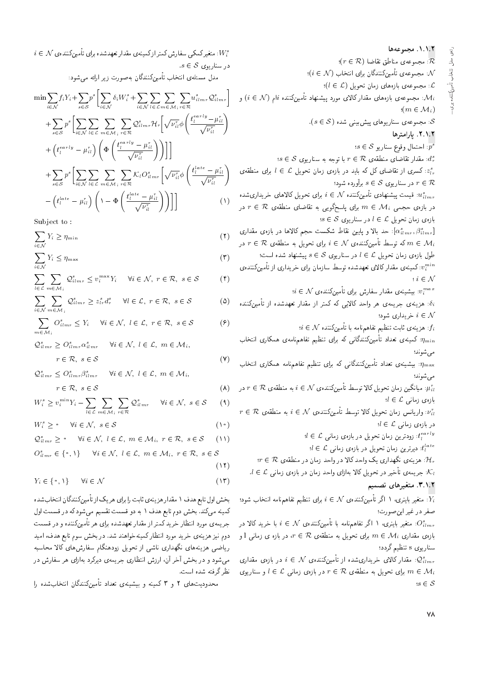ارائعى مدل انتخاب تأمينكننده براى..

٠١.١.٢. مجموعه ها  $(r \in \mathcal{R})$  مجموعهى مناطق تقاضا:  $\mathcal{R}$  $(i \in \mathcal{N})$  مجموعهى تأمين $\mathcal{X}$ نندگان براى انتخاب:  $\mathcal{N}$ : مجموعهی بازههای زمان تحویل  $(l \in \mathcal{L})$ ؛ . مجموعهی بازههای مقدار کالای مورد پیشنهاد تأمینکننده  $i$ ام  $(i \in \mathcal{N})$  و  $\mathcal{M}_i$  $\mathfrak{m} \in \mathcal{M}_i$  $\alpha(s \in \mathcal{S})$  : مجموعهى سناريوهاى پيش بينمى شده. ٢.١.٢. يارامترها  $s \in \mathcal{S}$  احتمال وقوع سناريو:  $\overline{p^s}$  $s \in \mathcal{S}$  : مقدار تقاضای منطقه $r \in \mathcal{R}$  با توجه به سناریوی:  $i \in \mathcal{L}$  : کسری از تقاضای کل که باید در بازهی زمان تحویل  $\mathcal{L}$  برای منطقهی: در سناریوی  $s \in \mathcal{S}$  برآورده شود؛  $r \in \mathcal{R}$ یبشنهادی تأمینکننده  $i \in \mathcal{N}$  برای تحویل کالاهای خریداریشده  $u_{ilmr}^{s}$  $r \in \mathcal{R}$  در بازه $r \in \mathcal{M}_i$  در  $m \in \mathcal{M}_i$  برای پاسخگویی به تقاضای منطقهی  $s \in \mathcal{S}$  بازه $o$  زمان تحویل  $l \in \mathcal{L}$  در سناریوی حد بالا و پایین نقاط شکست حجم کالاها در بازهی مقداری: $[\alpha^{s}_{ilmr},\beta^{s}_{ilmr}]$ در  $r \in \mathcal{R}$  که توسط تأمینکننده $\mathcal{N} \in \mathcal{N}$  برای تحویل به منطقه $m \in \mathcal{M}_i$  $l \in \mathcal{L}$  طول بازهی زمان تحویل  $l \in \mathcal{L}$  در سناریوی  $s \in \mathcal{S}$  پیشنهاد شده است ن استبنه استبنه استراک دار کالای تعهد شده توسط سازمان برای خریداری از تأمینکننده ی $v_i^{\min}$  $i \in \mathcal{N}$  $i \in \mathcal{N}$  بیشینهی مقدار سفارش برای تأمینکنندهی: $v_i^{max}$ .<br>فرینه یسی جریمه هر واحد کالایی که کمتر از مقدار تعهدشده از تأمینکننده: خریداری شود؛  $i \in \mathcal{N}$  $i \in \mathcal{N}$  هزینه $i$  ثابت تنظیم تفاهمهنامه با تأمینکننده  $f_i$  $\eta_{\rm min}$  کمینهی تعداد تأمینکنندگانی که برای تنظیم تفاهمنامهی همکاری انتخاب: مے ، شوند؛  $\eta_{\rm max}$ : بیشینه $\sigma$  تعداد تأمینِکنندگانی که برای تنظیم تفاهم $\eta_{\rm max}$ می شوند؛ در  $r \in \mathcal{R}$  به منطقه $i \in \mathcal{N}$  در  $i \in \mathcal{N}$  توسط تأمینکننده $i \in \mathcal{N}$  به منطقه $\mu_{il}^r$  $l \in \mathcal{L}$  بازەى زمانى  $r \in \mathcal{R}$  واریانس زمان تحویل کالا توسط تأمینکنندهی  $i \in \mathcal{N}$  به منطقهی $\bar{r_{ii}}$  $l \in \mathcal{L}$  در بازهى زمانى  $d \in \mathcal{L}$  زودترین زمان تحویل در بازهی زمانبی: $t_l^{early}$  $d \in \mathcal{L}$  : دیرترین زمان تحویل در بازه $l$  زمانبی: $t_l^{late}$  $r\in \mathcal{R}$  : هزینهی نگهداری یک واحد کالا در واحد زمان در منطقهی  $\mathcal{H}_r$  $l \in \mathcal{L}$  جریمهی تأخیر در تحویل کالا بهازای واحد زمان در بازهی زمانی  $\mathcal{L}$  . ۳.۱.۲. متغیرهای تصمیم

. متغیر باینری، ۱ اگر تأمینکننده $\mathcal N$  )  $i\in\mathcal N$  برای تنظیم تفاهمنامه انتخاب شود؛  $\overline{Y_i}$ صفر در غیر این صورت؛

: متغیر باینری، ۱ اگر تفاهمهنامه با تأمینکننده $\mathcal{N} \in \mathbb{N}$  با خرید کالا در: $O_{i\,lmr}^{s}$ بازه ی مقداری  $m \in \mathcal{M}_i$  برای تحویل به منطقهی  $r \in \mathcal{R}$ ، در بازه ی زمانی 1 و سناریوی s تنظیم گردد؛

در بازه $\mathcal{Q}^s_{ilmr}$  مقدار کالای خریداریشده از تأمینکننده $\mathcal{N} \in \mathcal{N}$  در بازه $\mathcal{Q}^s_{ilmr}$ برای تحویل به منطقه $n \in \mathcal{R}$  در بازه $i \in \mathcal{L}$  و سناریوی  $n \in \mathcal{M}_i$  $s \in \mathcal{S}$ 

 $i \in \mathcal{N}$  : متغیرکمکی سفارش کمتر ازکمینهی مقدار تعهدشده برای تأمینکنندهی:  $s \in \mathcal{S}$  در سناريوي

مدل مسئلهى انتخاب تأمينكنندگان بهصورت زير ارائه مى شود:

$$
\min \sum_{i \in \mathcal{N}} f_i Y_i + \sum_{s \in \mathcal{S}} p^s \left[ \sum_{i \in \mathcal{N}} \delta_i W_i^s + \sum_{i \in \mathcal{N}} \sum_{l \in \mathcal{L}} \sum_{m \in \mathcal{M}_i} \sum_{r \in \mathcal{R}} u_{i l m r}^s \mathcal{Q}_{i l m r}^s \right] + \sum_{s \in \mathcal{S}} p^s \left[ \sum_{i \in \mathcal{N}} \sum_{l \in \mathcal{L}} \sum_{m \in \mathcal{M}_i} \sum_{r \in \mathcal{R}} \mathcal{Q}_{i l m r}^s \mathcal{H}_r \left[ \sqrt{\nu_{i l}^r} \phi \left( \frac{t_l^{early} - \mu_{i l}^r}{\sqrt{\nu_{i l}^r}} \right) \right. \right. + \left( t_l^{early} - \mu_{i l}^r \right) \left( \Phi \left( \frac{t_l^{early} - \mu_{i l}^r}{\sqrt{\nu_{i l}^r}} \right) \right) \right] \right] + \sum_{s \in \mathcal{S}} p^s \left[ \sum_{i \in \mathcal{N}} \sum_{l \in \mathcal{L}} \sum_{m \in \mathcal{M}_i} \sum_{r \in \mathcal{R}} \mathcal{K}_l O_{i l m r}^s \left[ \sqrt{\nu_{i l}^r} \phi \left( \frac{t_l^{late} - \mu_{i l}^r}{\sqrt{\nu_{i l}^r}} \right) \right. \right. - \left( t_l^{late} - \mu_{i l}^r \right) \left( 1 - \Phi \left( \frac{t_l^{late} - \mu_{i l}^r}{\sqrt{\nu_{i l}^r}} \right) \right) \right] \right] \tag{1}
$$

Subject to:

$$
\sum_{i \in \mathcal{N}} Y_i \ge \eta_{\min} \tag{7}
$$

$$
\sum_{i \in \mathcal{N}} Y_i \le \eta_{\text{max}} \tag{7}
$$

$$
\sum_{l \in \mathcal{L}} \sum_{m \in \mathcal{M}_i} \mathcal{Q}_{ilmr}^s \le v_i^{\max} Y_i \quad \forall i \in \mathcal{N}, \ r \in \mathcal{R}, \ s \in \mathcal{S} \tag{f}
$$

$$
\sum_{i \in \mathcal{N}} \sum_{m \in \mathcal{M}_i} \mathcal{Q}_{i1}^s m_r \ge z_{l_r}^s d_r^s \quad \forall l \in \mathcal{L}, \ r \in \mathcal{R}, \ s \in \mathcal{S}
$$
 (0)

$$
\sum_{m \in \mathcal{M}_i} O_{ilmr}^s \le Y_i \quad \forall i \in \mathcal{N}, \ l \in \mathcal{L}, \ r \in \mathcal{R}, \ s \in \mathcal{S} \tag{9}
$$

$$
Q_{ilmr}^s \ge O_{ilmr}^s \alpha_{ilmr}^s \quad \forall i \in \mathcal{N}, \ l \in \mathcal{L}, \ m \in \mathcal{M}_i,
$$

$$
r \in \mathcal{R}, \ s \in \mathcal{S}
$$

$$
Q_{i \, l \, m \, r}^s \leq O_{i \, l \, m \, r}^s \beta_{i \, l \, m \, r}^s \qquad \forall i \in \mathcal{N}, \ l \in \mathcal{L}, \ m \in \mathcal{M}_i,
$$

$$
r \in \mathcal{R}, \ s \in \mathcal{S} \tag{A}
$$

 $(Y)$ 

$$
W_i^s \ge v_i^{\min} Y_i - \sum_{l \in \mathcal{L}} \sum_{m \in \mathcal{M}_i} \sum_{r \in \mathcal{R}} \mathcal{Q}_{ilmr}^s \qquad \forall i \in \mathcal{N}, \ s \in \mathcal{S} \tag{4}
$$

$$
W_i^s \ge \circ \quad \forall i \in \mathcal{N}, \ s \in \mathcal{S} \tag{1\circ}
$$

$$
\mathcal{Q}_{i1mr}^{s} \geq \bullet \quad \forall i \in \mathcal{N}, \ l \in \mathcal{L}, \ m \in \mathcal{M}_{i}, \ r \in \mathcal{R}, \ s \in \mathcal{S} \quad (\top)
$$

$$
O_{ilmr}^{s} \in \{ \cdot, \cdot \} \qquad \forall i \in \mathcal{N}, l \in \mathcal{L}, m \in \mathcal{M}_i, r \in \mathcal{R}, s \in \mathcal{S}
$$

 $(11)$ 

$$
Y_i \in \{ \circ, \mathcal{V} \} \qquad \forall i \in \mathcal{N} \tag{17}
$$

بخش اول تابع هدف ۱ مقدار هز پنه ی ثابت را برای هر یک از تأمین کنندگان انتخاب شده کمینه میکند. بخش دوم تابع هدف ۱ به دو قسمت تقسیم می شود که در قسمت اول جریمهی مورد انتظار خرید کمتر از مقدار تعهدشده برای هر تأمینکننده و در قسمت دوم نیز هزینهی خرید مورد انتظار کمینهخواهند شد. در بخش سوم تابع هدف، امید ریاضی هزینههای نگهداری ناشی از تحویل زودهنگام سفارشهای کالا محاسبه می شود و در بخش آخر آن، ارزش انتظاری جریمهی دیرکرد بهازای هر سفارش در نظ, گرفته شده است.

محدودیتهای ۲ و ۳ کمینه و بیشینهی تعداد تأمینکنندگان انتخابشده را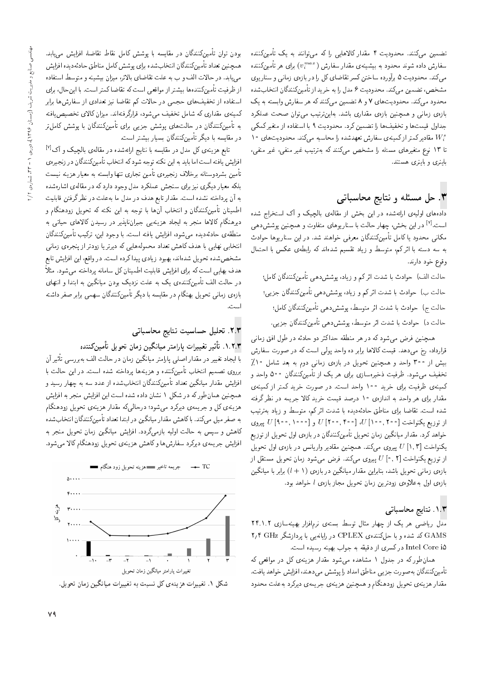تضمین میکنند. محدودیت ۴ مقدار کالاهایی را که می توانند به یک تأمینکننده سفارش داده شوند محدود به بیشینه،ی مقدار سفارش (  $v^{max}_{i}$ ) برای هر تأمینکننده<br>حمد حسینی هستم میکند. محدودیت ۵ برآورده ساختن کسر تقاضای کل را در بازهی زمانی و سناریوی مشخص، تضمین میکند. محدودیت ۶ مدل را به خرید از تأمینکنندگان انتخابشده محدود میکند. محدودیتهای ۷ و ۸ تضمین میکنند که هر سفارش وابسته به یک بازهى زمانى و همچنين بازەى مقدارى باشد. بەاين ترتيب مىتوان صحت عملكرد جداول قيمت ها و تخفيف ها را تضمين كرد. محدوديت ٩ با استفاده از متغير كمكي 4 M مقادیرکمتر ازکمینه ی سفارش تعهدشده را محاسبه میکند. محدودیت های ۱۰<br>تا ۱۳ دیسی میسیسیم ایران میسیم کنید که میسیم به کنیسیم تا ۱۳ نوع متغیرهای مسئله را مشخص میکنند که بهترتیب غیر منفی، غیر منفی، باینری و باینری هستند.

## ۲. حل مسئله و نتايج محاسباتي

دادههای اولیهی ارائهشده در این بخش از مقالهی بالچیک و آک استخراج شده است.<sup>[۷]</sup> در این بخش، چهار حالت با سناریوهای متفاوت و همچنین پوشش دهی<br>کان مکانی محدود یا کامل تأمینکنندگان معرفی خواهند شد. در این سناریوها حوادث به سه دسته با اثركم، متوسط و زياد تقسيم شدهاند كه رابطهى عكس با احتمال وقوع خود دارند.

حالت الف) حوادث با شدت اثر کم و زیاد، پوشش(دهی تأمینکنندگان کامل؛ حالت ب) حوادث با شدت اثرکم و زیاد، پوششدهی تأمینکنندگان جزیی؛ حالت ج) حوادث با شدت اثر متوسط، يوشش دهي تأمين كنندگان كامل؛ حالت د) حوادث با شدت اثر متوسط، پوششدهی تأمینکنندگان جزیبی.

همچنین فرض میشود که در هر منطقه حداکثر دو حادثه در طول افق زمانی قرارداد، رخ میدهد. قیمت کالاها برابر ده واحد پولی است که در صورت سفارش بیش از ۳۰۰ واحد و همچنین تحویل در بازهی زمانی دوم به بعد شامل ۱۰٪ تخفیف میشود. ظرفیت ذخیرهسازی برای هر یک از تأمینکنندگان ۵۰۰ واحد و کمینهی ظرفیت برای خرید ۱۰۰ واحد است. در صورت خرید کمتر از کمینهی مقدار برای هر واحد به اندازهی ۱۰ درصد قیمت خرید کالا جریمه در نظر گرفته<br>شده است. تقاضا برای مناطق حادثهدیده با شدت اثر کم، متوسط و زیاد بهترتیب ?}DQDx@ O=}R w \UwDt 'sm QF= COW =@ xO}OxFO=L j]=vt |=Q@ =[=kD "CU= xOW از توزیع یکنواخت [°۰۵, ۲۰۰] W و [°۰۵, ۲۰۰] 0 پیروی<br>مداریک مقدار اینگر مدار میدانیگر کندگار خواهد کرد. مقدار میانگین زمان تحویل تأمینکنندگان در بازهی اول تحویل از توزیع یکنواخت [۱٫۳] ییروی میکند. همچنین مقادیر واریانس در بازهی اول تحویل از توزیع یکنواخت  $U[{\tiny \textdegree}, {\tiny \textdegree} ]$  پیروی میکند. فرض میشود زمان تحویل مستقل از بازهى زمانى تحويل باشد، بنابراين مقدار ميانگين در بازهى (1 + 1) برابر با ميانگين بازهى اول به علاوهى زودترين زمان تحويل مجاز بازهى  $l$  خواهد بود.

### ۱.۳. نتایج محاسباتی

مدل ریاضی هر یک از چهار مثال توسط بستهی نرم|فزار بهینهسازی ۲۴.۱.۲ GAMS كد شده و با حلكنندهى CPLEX در رايانهيى با پردازشگر GHz ٢,۴ Intel Core i۵ در کسری از دقیقه به جواب بهینه رسیده است.

همان طور که در جدول ١ مشاهده می شود مقدار هزینهی کل در مواقعی که تأمينكنندگان به صورت جزيبي مناطق امداد را پوشش ميدهند، افزايش خواهد يافت. مقدار هزينهى تحويل زودهنگام و همچنين هزينهى جريمهى ديركرد بهعلت محدود

بودن توان تأمینکنندگان در مقایسه با پوشش کامل نقاط تقاضا، افزایش م<sub>ی،</sub>یابد. همچنين تعداد تأمينكنندگان انتخابشده براي پوشش كامل مناطق حادثه ديده افزايش می یابد. در حالات الف و ب به علت تقاضای بالاتر، میزان بیشینه و متوسط استفاده از ظرفیت تأمینکنندهها بیشتر از مواقعی است که تقاضا کمتر است. با این حال، برای استفاده از تخفیفهای حجمی در حالات کم تقاضا نیز تعدادی از سفارشها برابر كمينهى مقدارى كه شامل تخفيف مىشود، قرارگرفتهاند. ميزان كالاى تخصيص يافته به تأمینکنندگان در حالتهای پوشش جزیی برای تأمینکنندگان با پوشش کاملتر در مقايسه با ديگر تأمينكنندگان بسيار بيشتر است.

تابع هزینهی کل مدل در مقایسه با نتایج ارائهشده در مقالهی بالچیک و آک<sup>[۷]</sup> |فزایش یافته است اما باید به این نکته توجه شود که انتخاب تأمینکنندگان در زنجیرهي تأمين بشردوستانه برخلاف زنجيرهى تأمين تجارى تنها وابسته به معيار هزينه نيست بلکه معیار دیگری نیز برای سنجش عملکرد مدل وجود دارد که در مقالهی اشارهشده به آن پرداخته نشده است. مقدار تابع هدف در مدل ما به علت در نظر گرفتن قابلیت اطمینان تأمینکنندگان و انتخاب آنها با توجه به این نکته که تحویل زودهنگام و دیرهنگام کالاها منجر به ایجاد هزینهیی جبرانناپذیر در رسیدن کالاهای حیاتی به منطقهى حادثهديده مى شود، افزايش يافته است. با وجود اين، تركيب تأمينكنندگان انتخابی نهایی با هدف کاهش تعداد محمولههایی که دیرتر یا زودتر از پنجرهی زمانی مشخصشده تحويل شدهاند، بهبود زيادي پيداكرده است. در واقع، اين افزايش تابع هدف بهایی است که برای افزایش قابلیت اطمینان کل سامانه پرداخته می شود. مثلاً در حالت الف تأمینکنندهی یک به علت نزدیک بودن میانگین به ابتدا و انتهای بازهى زمانى تحويل بهنگام در مقايسه با ديگر تأمينكنندگان سهمى برابر صفر داشته است.

### .<br>٢.٣. تحليل حساسيت نتايج محاسباتي

### ۰۱.۲.۳ تأثير تغييرات پارامتر ميانگين زمان تحويل تأمينكننده

u; Q}F -=D |UQQ@x@ hr= Cr=L QO u=tRu}ov=}t QDt=Q=B |rY= Q=Okt QO Q}}eD O=H}= =@ برروی تصمیم انتخاب تأمینکننده و هزینهها پرداخته شده است. در این حالت با افزایش مقدار میانگین تعداد تأمینکنندگان انتخابشده از عدد سه به چهار رسید و همچنین همان طورکه در شکل ۱ نشان داده شده است این افزایش منجر به افزایش هزینهی کل و جریمهی دیرکرد می شود؛ درحالی که مقدار هزینهی تحویل زودهنگام به صفر میل میکند. با کاهش مقدار میانگین در ابتدا تعداد تأمینکنندگان انتخابشده کاهش و سپس به حالت اولیه بازمیگردد. افزایش میانگین زمان تحویل منجر به افزایش جریمهی دیرکرد سفارش ها وکاهش هزینهی تحویل زودهنگام کالا می شود.



شکل ۱. تغییرات هزینهی کل نسبت به تغییرات میانگین زمان تحویل.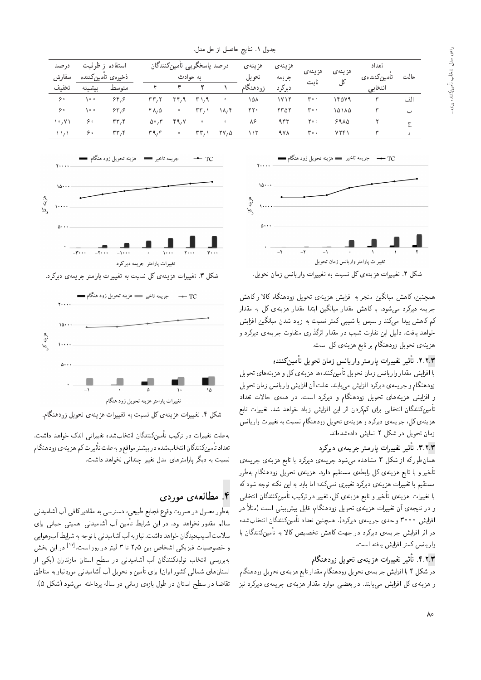| جدول ۱. نتایج حاصل از حل مدل.       |                                       |                                   |                  |                                        |                      |                                          |                   |        |                 |                      |         |     |
|-------------------------------------|---------------------------------------|-----------------------------------|------------------|----------------------------------------|----------------------|------------------------------------------|-------------------|--------|-----------------|----------------------|---------|-----|
| درصد<br>سفارش<br>تخفيف              | استفاده از ظرفیت<br>ذخيرهى تامينكننده |                                   |                  | درصد باسخگويي تأمينكنندگان<br>به حوادث |                      | هزينهى<br>تحويل                          | هز ينه ي<br>جريمه | هزينهي | هز ينهى         | تعداد<br>تامينكنندهى | حالت    |     |
|                                     | ببشينه                                | متوسط                             |                  |                                        |                      |                                          | زودهنگام          | ديركرد | ثابت            | کل                   | انتخابى |     |
| $\hat{\mathbf{y}}$                  | ه ه (                                 | 84, 8                             | ۲۳,۱             | ۳۴٫۹                                   | $T \setminus 9$      | $\bullet$                                | ۱۵۸               | ۱۷۱۲   | $r \cdot \cdot$ | ۱۴۵۷۹                | ٣       | الف |
| $-9.0$                              | ∖∘∘                                   | 84, 8                             | ۴۸,۵             | $\bullet$                              | $\mathsf{rr}_{\ell}$ | ۱۸,۴                                     | ٢٢٠               | ۲۳ ۵۲  | $r \cdot \cdot$ | ۱۵۱۸۵                | ٣       | ب   |
| $\mathcal{N} \setminus \mathcal{N}$ | ه ۶                                   | rr, r                             | $\Delta \cdot 7$ | 49, Y                                  | $\bullet$            | $\bullet$                                | ۸۶                | ۹۴۳    | ه ۲۰            | $99\,\lambda\Delta$  |         | چ   |
| $\Delta \Delta$                     | ه ۶                                   | $\mathsf{r}\mathsf{r},\mathsf{r}$ | ۳۹٫۴             | $\bullet$                              | $\mathsf{rr}_{\ell}$ | $\mathbf{Y} \mathbf{V} \cdot \mathbf{V}$ | ۱۱۳               | 9 Y A  | $r \cdot \cdot$ | YYY                  |         | د   |
|                                     |                                       |                                   |                  |                                        |                      |                                          |                   |        |                 |                      |         |     |



شکل ۲. تغییرات هزینهی کل نسبت به تغییرات واریانس زمان تحویل.

همچنین، کاهش میانگین منجر به افزایش هزینهی تحویل زودهنگام کالا و کاهش جریمه دیرکرد می شود. با کاهش مقدار میانگین ابتدا مقدار هزینهی کل به مقدار کم کاهش پیدا میکند و سپس با شیبی کمتر نسبت به زیاد شدن میانگین افزایش خواهد یافت. دلیل این تفاوت شیب در مقدار اثرگذاری متفاوت جریمهی دیرکرد و هزينه ي تحويل زودهنگام بر تابع هزينه يكل است.

## ٢.٢.٣. تأثير تغييرات پارامتر واريانس زمان تحويل تأمينكننده

با افزایش مقدار واریانس زمان تحویل تأمینکنندهها هزینهی کل و هزینههای تحویل زودهنگام و جريمهى ديركرد افزايش مىيابند. علت آن افزايش واريانس زمان تحويل و افزایش هزینههای تحویل زودهنگام و دیرکرد است. در همهی حالات تعداد تأمينكنندگان انتخابى براى كمكردن اثر اين افزايش زياد خواهد شد. تغييرات تابع هزینهی کل، جریمهی دیرکرد و هزینهی تحویل زودهنگام نسبت به تغییرات واریانس زمان تحویل در شکل ۲ نمایش دادهشدهاند.

# ۳.۲.۳. تأثير تغييرات پارامتر جريمهى ديركرد

همان طور که از شکل ۳ مشاهده می شود جریمهی دیرکرد با تابع هزینهی جریمهی .<br>تأخير و با تابع هزينهى كل رابطهى مستقيم دارد. هزينهى تحويل زودهنگام بهطور مستقيم با تغييرات هزينهى ديركرد تغييرى نمى،كند؛ اما بايد به اين نكته توجه شود كه با تغییرات هزینهی تأخیر و تابع هزینهی کل، تغییر در ترکیب تأمینکنندگان انتخابی و در نتیجهی آن تغییرات هزینهی تحویل زودهنگام، قابل پیش بینی است (مثلاً در افزایش °°°۲ واحدی جریمهی دیرکرد). همچنین تعداد تأمینکنندگان انتخابشده در اثر افزایش جریمهی دیرکرد در جهت کاهش تخصیص کالا به تأمینکنندگان با واريانس كمتر افزايش يافته است.

## ۴.۲.۳. تأثير تغييرات هزينهى تحويل زودهنگام

در شکل ۴ با افزایش جریمهی تحویل زودهنگام مقدار تابع هزینهی تحویل زودهنگام و هزینه ی کل افزایش میLبابند. در بعضی موارد مقدار هزینه ی جریمه ی دیرکرد نیز



شکل ۴. تغییرات هزینهی کل نسبت به تغییرات هزینهی تحویل زودهنگام.

بهعلت تغييرات در تركيب تأمينكنندگان انتخابشده تغييراتي اندک خواهد داشت. تعداد تامین نندنان انتخاب شده در بیشتر مواقع و به علت تاتیرات کم هزینه ی زودهندام<br>. نسبت به دیگر پارامترهای مدل تغییر چندانی نخواهد داشت.

# ۴. مطالعهی موردی

بهطور معمول در صورت وقوع فجايع طبيعي، دسترسي به مقاديركافي آب أشاميدنبي سالم مقدور نخواهد بود. در این شرایط تأمین آب آشامیدنی اهمیتی حیاتی برای<br>سلامت آسیبددیدگان خواهد داشت. نیاز به آب آشامیدنی با توجه به شرایط آبوهوایی |}=wyw?;\}=QW x@xHwD =@|vO}t=W; ?;x@ R=}v "CW=OOy=wN u=oO}O?}U;CtqU VN@u}= QO [17] "CU= RwQ QO QD}r 3=D 2 5u}@ X=NW= |m} R}i C=}YwYN w بهبررسی انتخاب تولیدکنندگان آب آشامیدنی در سطح استان مازندران (یکی از استان های شمالی کشور ایران) برای تأمین و تحویل أب آشامیدنی موردنیاز به مناطق تقاضا در سطح استان در طول بازهى زمانى دو ساله پرداخته مىشود (شكل ۵).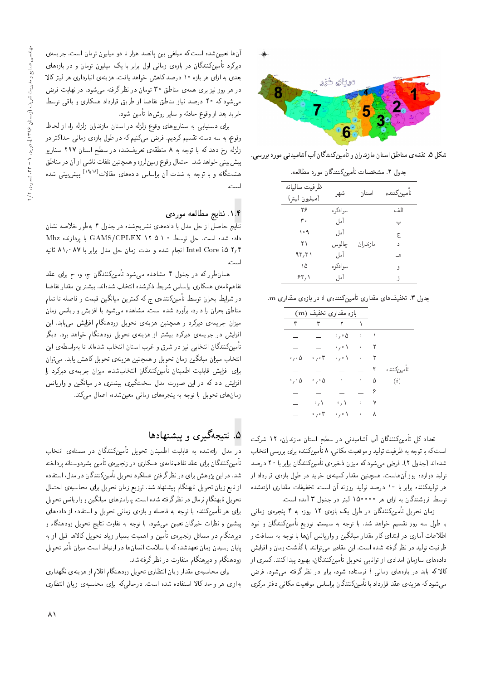

شکل ۵. نقشهی مناطق استان مازندران و تأمینکنندگان آب آشامیدنی مورد بررسی.

جدول ۲. مشخصات تأمینکنندگان مورد مطالعه.

| ظرفيت ساليانه<br>(ميليون ليتر) | شهر       | استان    | تأمين كننده |
|--------------------------------|-----------|----------|-------------|
| ۲۶                             | سوا دکو ه |          | الذي        |
| ، ۳                            | آمل       |          | ب           |
| ۰۹ (                           | آمل       |          | ج           |
| ۲۱                             | چالوس     | مازندران | د           |
| ۹۳٫۳۱                          | أمل       |          | هـ          |
| ۱۵                             | سوا دکو ه |          | ,           |
| ۶۳٬۱                           | أمل       |          | - 5         |
|                                |           |          |             |

. $\mathbf m$  جدول ۳. تخفیفهای مقداری تأمینکنندهی  $i$  در بازهی مقداری

|                            | بازه مقداری تخفیف (m)      |                             |                     |   |             |
|----------------------------|----------------------------|-----------------------------|---------------------|---|-------------|
| ۴                          | ٣                          | $\mathsf{r}$                | $\Delta$            |   |             |
|                            |                            | $\cdot$ , $\cdot$ 0         | 0                   | ١ |             |
|                            |                            | $\circ$ , $\circ$ \ $\circ$ | o                   | ۲ |             |
| $\circ$ , $\circ$ $\Delta$ | $\cdot$ , $\cdot$ ۳        | 。い                          | $\ddot{\mathbf{0}}$ | ٣ |             |
|                            |                            |                             |                     | ۴ | تأمين كننده |
| $\circ$ , $\circ$ $\Delta$ | $\cdot$ , $\cdot$ $\Delta$ | $\ddot{\mathbf{0}}$         | o                   | ۵ | (i)         |
|                            |                            |                             |                     | ۶ |             |
|                            | $\cdot$ $\wedge$           | $\cdot$ $\wedge$            | 0                   | ٧ |             |
|                            | ۰,۰۳                       | 。い                          | $\circ$             | ٨ |             |
|                            |                            |                             |                     |   |             |

تعداد کل تأمینکنندگان آب آشامیدنی در سطح استان مازندران، ۱۲ شرکت است که با توجه به ظرفیت تولید و موقعیت مکانی، ۸ تأمینکننده برای بررسی انتخاب شدهاند (جدول ۲). فرض میشود که میزان ذخیرهی تأمینکنندگان برابر با ۲۰ درصد تولید دوازده روز آنهاست. همچنین مقدار کمینهی خرید در طول بازهی قرارداد از هر تولیدکننده برابر با ۱۰ درصد تولید روزانه آن است. تخفیفات مقداری ارائهشده<br>توسط فروشندگان به ازای هر ۱۵۰۰۰۰ لیتر در جدول ۳ آمده است.

نوسط فروستدنان به آزای هر <sup>دی دی</sup> ۱۵<sup>00</sup> لیبر در جدول ۱ امده است.<br>این سال استکان *بدیگ*ان ایران کار ایران میدان |v=tR |xQHvB 4 x@ xRwQ 12 |xR=@ l} pw] QO u=oOvvmu}t-=D p}wLD u=tR با طول سه روز تقسیم خواهد شد. با توجه به سیستم توزیع تأمینکنندگان و نبود اطلاعات آماری در ابتدای کار مقدار میانگین و واریانس آنها با توجه به مسافت و ظرفیت تولید در نظر گرفته شده است. این مقادیر می توانند با گذشت زمان و افزایش دادههای سازمان امدادی از توانایی تحویل تأمینکنندگان، بهبود پیدا کنند. کسری از کالاکه باید در بازههای زمانی l فرستاده شود، برابر در نظر گرفته می شود. فرض مبی شود که هزینه ی عقد قرارداد با تأمینکنندگان براساس موقعیت مکانبی دفتر مرکزی

آنها تعیین شده است که مبلغی بین پانصد هزار تا دو میلیون تومان است. جریمهی دیرکرد تأمینکنندگان در بازهی زمانی اول برابر با یک میلیون تومان و در بازههای بعدی به ازای هر بازه ۱۰ درصد کاهش خواهد یافت. هزینهی انبارداری هر لیترکالا در هر روز نیز برای همهی مناطق ۳۰ تومان در نظرگرفته میشود. در نهایت فرض می شود که ۴۰ درصد نیاز مناطق تقاضا از طریق قرارداد همکاری و باقی توسط خرید بعد از وقوع حادثه و سایر روش۵ا تأمین شود.

برای دستیابی به سناریوهای وقوع زلزله در استان مازندران زلزله را، از لحاظ وقوع، به سه دسته تقسیم کردیم. فرض میکنیم که در طول بازه $\,$  زمانی حداکثر دو زلزله رخ دهد كه با توجه به ۸ منطقهى تعريف شده در سطح استان ۲۹۷ سناريو پیش بینی خواهد شد. احتمال وقوع زمین لرزه و همچنین تلفات ناشی از آن در مناطق هشتگانه و با توجه به شدت آن براساس دادههای مقالات<sup>[۱۹</sup>۰<sup>۱۸]</sup> پیش بینی شده<br>است اسب .<br>-

### ۱.۴. نتایج مطالعه موردی

نتایج حاصل از حل مدل با دادههای تشریحشده در جدول ۴ بهطور خلاصه نشان داده شده است. حل توسط GAMS/CPLEX ۱۲.۵.۱.۰ با بردازنده Mhz ۲٫۴ Intel Core i انجام شده و مدت زمان حل مدل برابر با ۸۷°1۸ ثانیه

اسب.<br>-همان طور که در جدول ۴ مشاهده میشود تأمینکنندگان ج، و، ح برای عقد تفاهم نامهى همكارى براساس شرايط ذكرشده انتخاب شدهاند. بيشترين مقدار تقاضا در شرایط بحران توسط تأمینکنندهی ج که کمترین میانگین قیمت و فاصله تا تمام<br>مناطق بحران را دارد، برآورد شده است. مشاهده میشود با افزایش واریانس زمان مناطق بحران را دارد، براورد سده است. مساهده می سود با افزایس واریاسی زمان<br>مساحل الساسی میزان جریمهی دیردرد و همچنین هزینهی تحویل زودهندام افزایس می یابد. این<br>از این سال این کل سیسی از سیسی این میتمانند که این ساخته افزایش در جریمهی دیرکرد بیشتر از هزینهی تحویل زودهنگام خواهد بود. دیگر تأمینکنندگان انتخابی نیز در شرق و غرب استان انتخاب شدهاند تا بهواسطهی این<br>انتخاب میزان میانگین زمان تحویل و همچنین هزینهی تحویل کاهش یابد. می,توان اسحاب میزان میانگین زمان تحویل و همچنین هزینهی تحویل کاهس یابلند می توان<br>با ساخات سازان سایل ساخت کنیگان از باب به بینام برای افزایش فابلیت اطمینان تامین(مندفان انتخابشده، میزان جریمهی دیردرد را<br>از این سوار ک افزایش داد که در این صورت مدل سختگیری بیشتری در میانگین و واریانس زمان های تحویل با توجه به پنجرههای زمانی معین شده، اعمال میکند.

# ۵. نتیجهگیری و پیشنهادها

در مدل ارائهشده به قابلیت اطمینان تحویل تأمینکنندگان در مسئلهی انتخاب تأمینکنندگان برای عقد تفاهمiامهی همکاری در زنجیرهی تأمین بشردوستانه پرداخته شد. در این پژوهش برای در نظرگرفتن عملکرد تحویل تأمینکنندگان در مدل، استفاده از تابع زيان تحويل نابهنگام پيشنهاد شد. توزيع زمان تحويل براى محاسبهى احتمال تحویل نابهنگام نرمال در نظرگرفته شده است. پارامترهای میانگین و واریانس تحویل برای هر تأمینکننده با توجه به فاصله و بازهی زمانبی تحویل و استفاده از دادههای پیشین و نظرات خبرگان تعیین میشود. با توجه به تفاوت نتایج تحویل زودهنگام و دیرهنگام در مسائل زنجیرهی تأمین و اهمیت بسیار زیاد تحویل کالاها قبل از به پایان رسیدن زمان تعهدشده که با سلامت انسان۱۵ در ارتباط است میزان تاتیر تحویل<br>مرضی الله زودهنگام و دیرهنگام متفاوت در نظر گرفتهشد.

برای محاسبهی مقدار زیان انتظاری تحویل زودهنگام اقلام از هزینهی نگهداری بهازای هر واحد کالا استفاده شده است. درحالیکه برای محاسبهی زیان انتظاری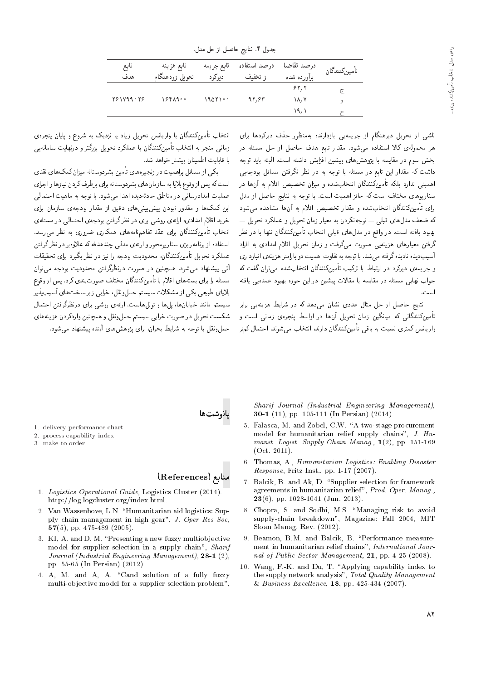جدول ۴. نتایج حاصل از حل مدل.

| تابع<br>هدف | تابع هزينه<br>تحويل زودهنگام | تابع جريمه<br>ديركرد | درصد استفاده<br>از تخفیف | درصد تقاضا<br>برأورده شده | تأمين كنندگان |
|-------------|------------------------------|----------------------|--------------------------|---------------------------|---------------|
|             |                              |                      |                          | ۶۲٬۲                      | Œ.            |
| 781899.78   | ۰ ۱۶۴۸۹                      | ۰۰ ۱۹۵۲              | 97,84                    | ۱۸٬۷                      | و             |
|             |                              |                      |                          | ۱۹٬۱                      |               |

ناشی از تحویل دیرهنگام از جریمهیی بازدارنده بهمنظور حذف دیرکردها برای هر محمولهی کالا استفاده می شود. مقدار تابع هدف حاصل از حل مسئله در بخش سوم در مقايسه با يژوهش هاى پيشين افزايش داشته است. البته بايد توجه داشت که مقدار این تابع در مسئله با توجه به در نظر نگرفتن مسائل بودجهیی اهمیتی ندارد بلکه تأمینکنندگان انتخابشده و میزان تخصیص اقلام به آنها در سناریوهای مختلف است که حائز اهمیت است. با توجه به نتایج حاصل از مدل <sub>بر</sub>ای تأمینکنندگان انتخابشده و مقدار تخصیص اقلام به آنها مشاهده میشو**د** که ضعف مدلهای قبلی ـــ توجهنکردن به معیار زمان تحویل و عملکرد تحویل ـــ بهبود یافته است. در واقع در مدلهای قبلی انتخاب تأمینکنندگان تنها با در نظر گرفتن معیارهای هزینهیی صورت می¢رفت و زمان تحویل اقلام امدادی به افراد آسیب دیده نادیده گرفته مهرشد. با توجه به تفاوت اهمیت دو پارامتر هزینهی انبارداری و جریمهی دیرکرد در ارتباط با ترکیب تأمینکنندگان انتخابشده مهیتوان گفت که ۔<br>جواب نھایے مسئله در مقایسه با مقالات پیشین در این جوزه بھیود عمدہیے یافته است.

.<br>نتایج حاصل از حل مثال عددی نشان می،دهد که در شرایط هزینهیی برابر تأمینکنندگانی که میانگین زمان تحویل آنها در اواسط پنجرهی زمانی است و واریانس کمتری نسبت به باقی تأمینکنندگان دارند، انتخاب می شوند. احتمال کمتر

انتخاب تأمینکنندگان با واریانس تحویل زیاد یا نزدیک به شروع و پایان پنجره، زمانی منجر به انتخاب تأمین کنندگان با عملکرد تحویل بزرگتر و درنهایت سامانهیی با قابلیت اطمینان بیشتر خواهد شد.

یکی از مسائل پراهمیت در زنجیرههای تأمین بشردوستانه میزان کمک های نقدی است که پس از وقوع بلایا به سازمان های بشردوستانه برای برطرف کردن نیازها و اجرای عملیات امدادرسانی در مناطق حادثهدیده اهدا میشود. با توجه به ماهیت احتمالی این کمکها و مقدور نبودن پیش بینی های دقیق از مقدار بودجهی سازمان برای خرید اقلام امدادی، ارائهی روشی برای در نظر گرفتن بودجهی احتمالی در مسئلهی انتخاب تأمینکنندگان برای عقد تفاهمنامههای همکاری ضروری به نظر می رسد. استفاده از برنامهريزي سنار يومحور و ارائهي مدلي چندهدفه كه علاوهبر در نظرگرفتن عملکرد تحویل تأمینکنندگان، محدودیت بودجه را نیز در نظر بگیرد برای تحقیقات آنی پیشنهاد میشود. همچنین در صورت درنظرگرفتن محدودیت بودجه میٍتوان مسئله را برای بستههای اقلام با تأمینکنندگان مختلف صورت بندی کرد. پس از وقوع .<br>بلایای طبیعی یکی از مشکلات سیستم حملونقل، خرابی زیرساخت های آسیب پذیر سیستم مانند خیابانها، پلها و تونلهاست. ارائهی روشی برای درنظرگرفتن احتمال شکست تحویل در صورت خرابی سیستم حمل ونقل و همچنین واردکردن هزینههای حملونقل با توجه به شرایط بحران، برای پژوهش های آینده پیشنهاد می شود.

بانوشته

- 1. delivery performance chart
- 2. process capability index
- 3. make to order

### منابع (References)

- 1. Logistics Operational Guide, Logistics Cluster (2014). http://log.logcluster.org/index.html.
- 2. Van Wassenhove, L.N. "Humanitarian aid logistics: Supply chain management in high gear", J. Oper Res Soc, 57(5), pp. 475-489 (2005).
- 3. KI, A. and D, M. "Presenting a new fuzzy multiobjective model for supplier selection in a supply chain", Sharif Journal (Industrial Engineering Management), 28-1 (2), pp. 55-65 (In Persian) (2012).
- 4. A, M. and A, A. "Cand solution of a fully fuzzy multi-objective model for a supplier selection problem",

Sharif Journal (Industrial Engineering Management). **30-1** (11), pp. 105-111 (In Persian) (2014).

- 5. Falasca, M. and Zobel, C.W. "A two-stage procurement model for humanitarian relief supply chains", J. Humanit. Logist. Supply Chain Manag., 1(2), pp. 151-169  $(Oct. 2011).$
- 6. Thomas, A., Humanitarian Logistics: Enabling Disaster Response, Fritz Inst., pp. 1-17 (2007).
- 7. Balcik, B. and Ak, D. "Supplier selection for framework agreements in humanitarian relief", Prod. Oper. Manag.,  $23(6)$ , pp. 1028-1041 (Jun. 2013).
- 8. Chopra, S. and Sodhi, M.S. "Managing risk to avoid supply-chain breakdown", Magazine: Fall 2004, MIT Sloan Manag. Rev. (2012).
- 9. Beamon, B.M. and Balcik, B. "Performance measurement in humanitarian relief chains", International Journal of Public Sector Management, 21, pp. 4-25 (2008).
- 10. Wang, F.-K. and Du, T. "Applying capability index to the supply network analysis", Total Quality Management & Business Excellence,  $18$ , pp. 425-434 (2007).